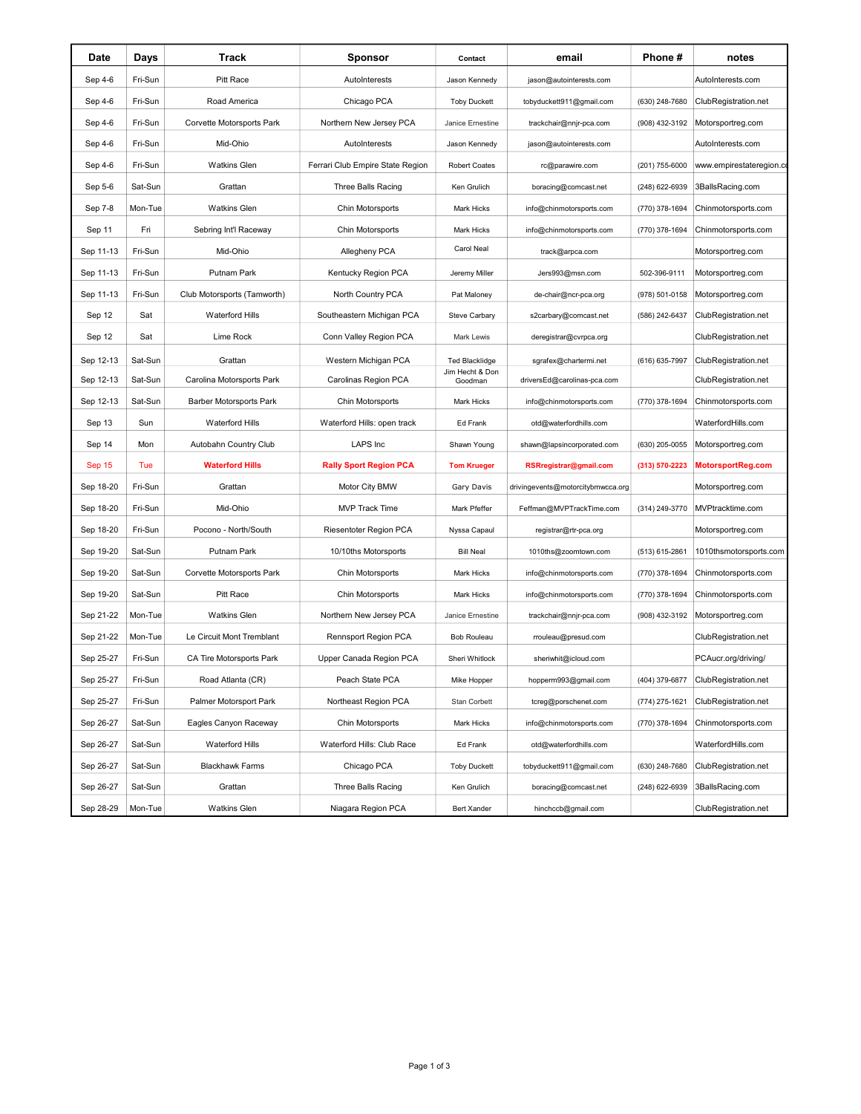| Date      | Days    | Track                          | <b>Sponsor</b>                   | Contact                    | email                             | Phone #        | notes                    |
|-----------|---------|--------------------------------|----------------------------------|----------------------------|-----------------------------------|----------------|--------------------------|
| Sep 4-6   | Fri-Sun | Pitt Race                      | AutoInterests                    | Jason Kennedy              | jason@autointerests.com           |                | AutoInterests.com        |
| Sep 4-6   | Fri-Sun | Road America                   | Chicago PCA                      | <b>Toby Duckett</b>        | tobyduckett911@gmail.com          | (630) 248-7680 | ClubRegistration.net     |
| Sep 4-6   | Fri-Sun | Corvette Motorsports Park      | Northern New Jersey PCA          | Janice Ernestine           | trackchair@nnjr-pca.com           | (908) 432-3192 | Motorsportreg.com        |
| Sep 4-6   | Fri-Sun | Mid-Ohio                       | AutoInterests                    | Jason Kennedy              | jason@autointerests.com           |                | AutoInterests.com        |
| Sep 4-6   | Fri-Sun | <b>Watkins Glen</b>            | Ferrari Club Empire State Region | <b>Robert Coates</b>       | rc@parawire.com                   | (201) 755-6000 | www.empirestateregion.co |
| Sep 5-6   | Sat-Sun | Grattan                        | Three Balls Racing               | Ken Grulich                | boracing@comcast.net              | (248) 622-6939 | 3BallsRacing.com         |
| Sep 7-8   | Mon-Tue | <b>Watkins Glen</b>            | Chin Motorsports                 | Mark Hicks                 | info@chinmotorsports.com          | (770) 378-1694 | Chinmotorsports.com      |
| Sep 11    | Fri     | Sebring Int'l Raceway          | Chin Motorsports                 | Mark Hicks                 | info@chinmotorsports.com          | (770) 378-1694 | Chinmotorsports.com      |
| Sep 11-13 | Fri-Sun | Mid-Ohio                       | Allegheny PCA                    | Carol Neal                 | track@arpca.com                   |                | Motorsportreg.com        |
| Sep 11-13 | Fri-Sun | Putnam Park                    | Kentucky Region PCA              | Jeremy Miller              | Jers993@msn.com                   | 502-396-9111   | Motorsportreg.com        |
| Sep 11-13 | Fri-Sun | Club Motorsports (Tamworth)    | North Country PCA                | Pat Maloney                | de-chair@ncr-pca.org              | (978) 501-0158 | Motorsportreg.com        |
| Sep 12    | Sat     | <b>Waterford Hills</b>         | Southeastern Michigan PCA        | Steve Carbary              | s2carbary@comcast.net             | (586) 242-6437 | ClubRegistration.net     |
| Sep 12    | Sat     | Lime Rock                      | Conn Valley Region PCA           | Mark Lewis                 | deregistrar@cvrpca.org            |                | ClubRegistration.net     |
| Sep 12-13 | Sat-Sun | Grattan                        | Western Michigan PCA             | <b>Ted Blacklidge</b>      | sgrafex@chartermi.net             | (616) 635-7997 | ClubRegistration.net     |
| Sep 12-13 | Sat-Sun | Carolina Motorsports Park      | Carolinas Region PCA             | Jim Hecht & Don<br>Goodman | driversEd@carolinas-pca.com       |                | ClubRegistration.net     |
| Sep 12-13 | Sat-Sun | <b>Barber Motorsports Park</b> | Chin Motorsports                 | Mark Hicks                 | info@chinmotorsports.com          | (770) 378-1694 | Chinmotorsports.com      |
| Sep 13    | Sun     | Waterford Hills                | Waterford Hills: open track      | Ed Frank                   | otd@waterfordhills.com            |                | WaterfordHills.com       |
| Sep 14    | Mon     | Autobahn Country Club          | LAPS Inc                         | Shawn Young                | shawn@lapsincorporated.com        | (630) 205-0055 | Motorsportreg.com        |
| Sep 15    | Tue     | <b>Waterford Hills</b>         | <b>Rally Sport Region PCA</b>    | <b>Tom Krueger</b>         | RSRregistrar@gmail.com            | (313) 570-2223 | MotorsportReg.com        |
| Sep 18-20 | Fri-Sun | Grattan                        | Motor City BMW                   | Gary Davis                 | drivingevents@motorcitybmwcca.org |                | Motorsportreg.com        |
| Sep 18-20 | Fri-Sun | Mid-Ohio                       | <b>MVP Track Time</b>            | Mark Pfeffer               | Feffman@MVPTrackTime.com          | (314) 249-3770 | MVPtracktime.com         |
| Sep 18-20 | Fri-Sun | Pocono - North/South           | Riesentoter Region PCA           | Nyssa Capaul               | registrar@rtr-pca.org             |                | Motorsportreg.com        |
| Sep 19-20 | Sat-Sun | Putnam Park                    | 10/10ths Motorsports             | <b>Bill Neal</b>           | 1010ths@zoomtown.com              | (513) 615-2861 | 1010thsmotorsports.com   |
| Sep 19-20 | Sat-Sun | Corvette Motorsports Park      | Chin Motorsports                 | Mark Hicks                 | info@chinmotorsports.com          | (770) 378-1694 | Chinmotorsports.com      |
| Sep 19-20 | Sat-Sun | Pitt Race                      | Chin Motorsports                 | <b>Mark Hicks</b>          | info@chinmotorsports.com          | (770) 378-1694 | Chinmotorsports.com      |
| Sep 21-22 | Mon-Tue | <b>Watkins Glen</b>            | Northern New Jersey PCA          | Janice Ernestine           | trackchair@nnjr-pca.com           | (908) 432-3192 | Motorsportreg.com        |
| Sep 21-22 | Mon-Tue | Le Circuit Mont Tremblant      | Rennsport Region PCA             | <b>Bob Rouleau</b>         | rrouleau@presud.com               |                | ClubRegistration.net     |
| Sep 25-27 | Fri-Sun | CA Tire Motorsports Park       | Upper Canada Region PCA          | Sheri Whitlock             | sheriwhit@icloud.com              |                | PCAucr.org/driving/      |
| Sep 25-27 | Fri-Sun | Road Atlanta (CR)              | Peach State PCA                  | Mike Hopper                | hopperm993@gmail.com              | (404) 379-6877 | ClubRegistration.net     |
| Sep 25-27 | Fri-Sun | Palmer Motorsport Park         | Northeast Region PCA             | Stan Corbett               | tcreg@porschenet.com              | (774) 275-1621 | ClubRegistration.net     |
| Sep 26-27 | Sat-Sun | Eagles Canyon Raceway          | Chin Motorsports                 | Mark Hicks                 | info@chinmotorsports.com          | (770) 378-1694 | Chinmotorsports.com      |
| Sep 26-27 | Sat-Sun | Waterford Hills                | Waterford Hills: Club Race       | Ed Frank                   | otd@waterfordhills.com            |                | WaterfordHills.com       |
| Sep 26-27 | Sat-Sun | <b>Blackhawk Farms</b>         | Chicago PCA                      | <b>Toby Duckett</b>        | tobyduckett911@gmail.com          | (630) 248-7680 | ClubRegistration.net     |
| Sep 26-27 | Sat-Sun | Grattan                        | Three Balls Racing               | Ken Grulich                | boracing@comcast.net              | (248) 622-6939 | 3BallsRacing.com         |
| Sep 28-29 | Mon-Tue | <b>Watkins Glen</b>            | Niagara Region PCA               | <b>Bert Xander</b>         | hinchccb@gmail.com                |                | ClubRegistration.net     |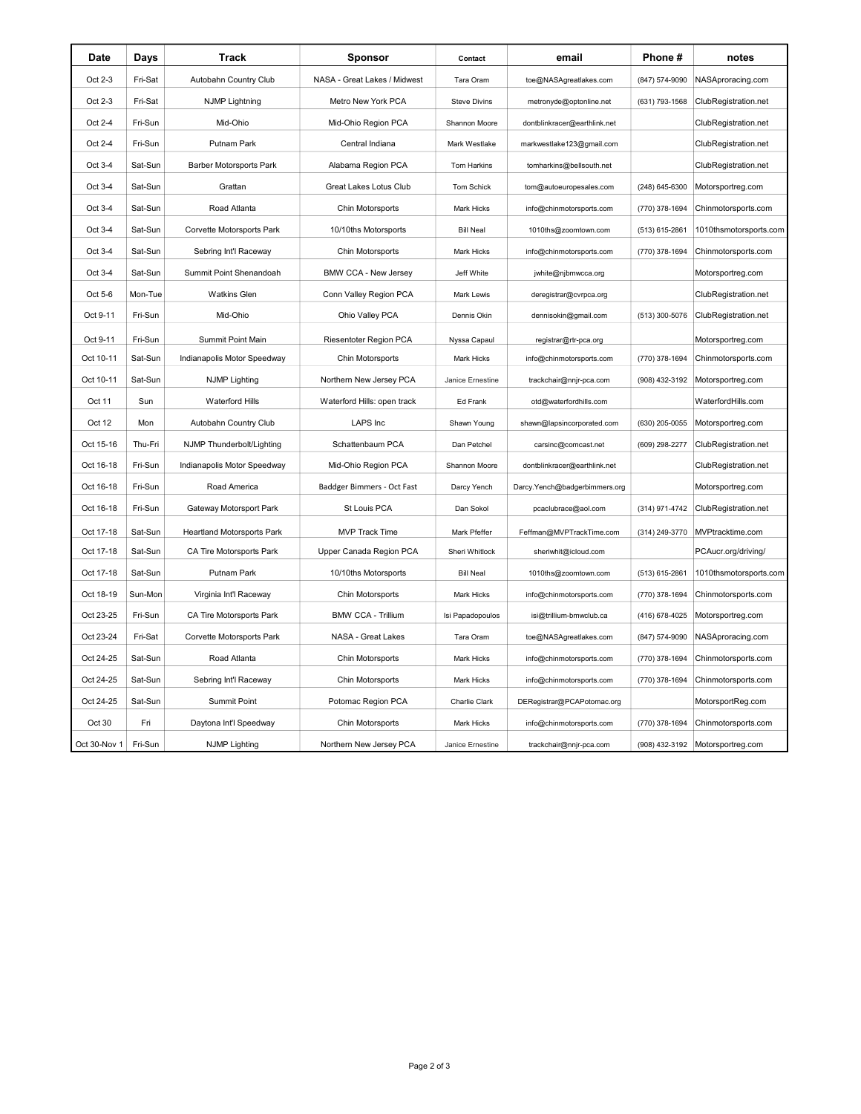| Date         | Days    | Track                             | <b>Sponsor</b>               | Contact             | email                         | Phone#         | notes                            |
|--------------|---------|-----------------------------------|------------------------------|---------------------|-------------------------------|----------------|----------------------------------|
| Oct 2-3      | Fri-Sat | Autobahn Country Club             | NASA - Great Lakes / Midwest | Tara Oram           | toe@NASAgreatlakes.com        | (847) 574-9090 | NASAproracing.com                |
| Oct 2-3      | Fri-Sat | <b>NJMP Lightning</b>             | Metro New York PCA           | <b>Steve Divins</b> | metronyde@optonline.net       | (631) 793-1568 | ClubRegistration.net             |
| Oct 2-4      | Fri-Sun | Mid-Ohio                          | Mid-Ohio Region PCA          | Shannon Moore       | dontblinkracer@earthlink.net  |                | ClubRegistration.net             |
| Oct 2-4      | Fri-Sun | Putnam Park                       | Central Indiana              | Mark Westlake       | markwestlake123@gmail.com     |                | ClubRegistration.net             |
| Oct 3-4      | Sat-Sun | Barber Motorsports Park           | Alabama Region PCA           | Tom Harkins         | tomharkins@bellsouth.net      |                | ClubRegistration.net             |
| Oct 3-4      | Sat-Sun | Grattan                           | Great Lakes Lotus Club       | Tom Schick          | tom@autoeuropesales.com       | (248) 645-6300 | Motorsportreg.com                |
| Oct 3-4      | Sat-Sun | Road Atlanta                      | Chin Motorsports             | <b>Mark Hicks</b>   | info@chinmotorsports.com      | (770) 378-1694 | Chinmotorsports.com              |
| Oct 3-4      | Sat-Sun | Corvette Motorsports Park         | 10/10ths Motorsports         | <b>Bill Neal</b>    | 1010ths@zoomtown.com          | (513) 615-2861 | 1010thsmotorsports.com           |
| Oct 3-4      | Sat-Sun | Sebring Int'l Raceway             | Chin Motorsports             | Mark Hicks          | info@chinmotorsports.com      | (770) 378-1694 | Chinmotorsports.com              |
| Oct 3-4      | Sat-Sun | Summit Point Shenandoah           | <b>BMW CCA - New Jersey</b>  | Jeff White          | jwhite@njbmwcca.org           |                | Motorsportreg.com                |
| Oct 5-6      | Mon-Tue | <b>Watkins Glen</b>               | Conn Valley Region PCA       | Mark Lewis          | deregistrar@cvrpca.org        |                | ClubRegistration.net             |
| Oct 9-11     | Fri-Sun | Mid-Ohio                          | Ohio Valley PCA              | Dennis Okin         | dennisokin@gmail.com          | (513) 300-5076 | ClubRegistration.net             |
| Oct 9-11     | Fri-Sun | Summit Point Main                 | Riesentoter Region PCA       | Nyssa Capaul        | registrar@rtr-pca.org         |                | Motorsportreg.com                |
| Oct 10-11    | Sat-Sun | Indianapolis Motor Speedway       | Chin Motorsports             | <b>Mark Hicks</b>   | info@chinmotorsports.com      | (770) 378-1694 | Chinmotorsports.com              |
| Oct 10-11    | Sat-Sun | <b>NJMP Lighting</b>              | Northern New Jersey PCA      | Janice Ernestine    | trackchair@nnjr-pca.com       | (908) 432-3192 | Motorsportreg.com                |
| Oct 11       | Sun     | Waterford Hills                   | Waterford Hills: open track  | Ed Frank            | otd@waterfordhills.com        |                | WaterfordHills.com               |
| Oct 12       | Mon     | Autobahn Country Club             | LAPS Inc                     | Shawn Young         | shawn@lapsincorporated.com    | (630) 205-0055 | Motorsportreg.com                |
| Oct 15-16    | Thu-Fri | NJMP Thunderbolt/Lighting         | Schattenbaum PCA             | Dan Petchel         | carsinc@comcast.net           | (609) 298-2277 | ClubRegistration.net             |
| Oct 16-18    | Fri-Sun | Indianapolis Motor Speedway       | Mid-Ohio Region PCA          | Shannon Moore       | dontblinkracer@earthlink.net  |                | ClubRegistration.net             |
| Oct 16-18    | Fri-Sun | Road America                      | Baddger Bimmers - Oct Fast   | Darcy Yench         | Darcy.Yench@badgerbimmers.org |                | Motorsportreg.com                |
| Oct 16-18    | Fri-Sun | Gateway Motorsport Park           | St Louis PCA                 | Dan Sokol           | pcaclubrace@aol.com           | (314) 971-4742 | ClubRegistration.net             |
| Oct 17-18    | Sat-Sun | <b>Heartland Motorsports Park</b> | <b>MVP Track Time</b>        | Mark Pfeffer        | Feffman@MVPTrackTime.com      | (314) 249-3770 | MVPtracktime.com                 |
| Oct 17-18    | Sat-Sun | CA Tire Motorsports Park          | Upper Canada Region PCA      | Sheri Whitlock      | sheriwhit@icloud.com          |                | PCAucr.org/driving/              |
| Oct 17-18    | Sat-Sun | Putnam Park                       | 10/10ths Motorsports         | <b>Bill Neal</b>    | 1010ths@zoomtown.com          | (513) 615-2861 | 1010thsmotorsports.com           |
| Oct 18-19    | Sun-Mon | Virginia Int'l Raceway            | Chin Motorsports             | Mark Hicks          | info@chinmotorsports.com      | (770) 378-1694 | Chinmotorsports.com              |
| Oct 23-25    | Fri-Sun | CA Tire Motorsports Park          | <b>BMW CCA - Trillium</b>    | Isi Papadopoulos    | isi@trillium-bmwclub.ca       | (416) 678-4025 | Motorsportreg.com                |
| Oct 23-24    | Fri-Sat | Corvette Motorsports Park         | NASA - Great Lakes           | Tara Oram           | toe@NASAgreatlakes.com        | (847) 574-9090 | NASAproracing.com                |
| Oct 24-25    | Sat-Sun | Road Atlanta                      | Chin Motorsports             | Mark Hicks          | info@chinmotorsports.com      | (770) 378-1694 | Chinmotorsports.com              |
| Oct 24-25    | Sat-Sun | Sebring Int'l Raceway             | Chin Motorsports             | <b>Mark Hicks</b>   | info@chinmotorsports.com      | (770) 378-1694 | Chinmotorsports.com              |
| Oct 24-25    | Sat-Sun | Summit Point                      | Potomac Region PCA           | Charlie Clark       | DERegistrar@PCAPotomac.org    |                | MotorsportReg.com                |
| Oct 30       | Fri     | Daytona Int'l Speedway            | Chin Motorsports             | <b>Mark Hicks</b>   | info@chinmotorsports.com      | (770) 378-1694 | Chinmotorsports.com              |
| Oct 30-Nov 1 | Fri-Sun | <b>NJMP Lighting</b>              | Northern New Jersey PCA      | Janice Ernestine    | trackchair@nnjr-pca.com       |                | (908) 432-3192 Motorsportreg.com |